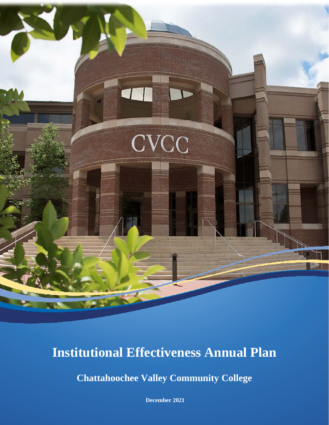

# **Institutional Effectiveness Annual Plan**

**Chattahoochee Valley Community College**

**December 2021**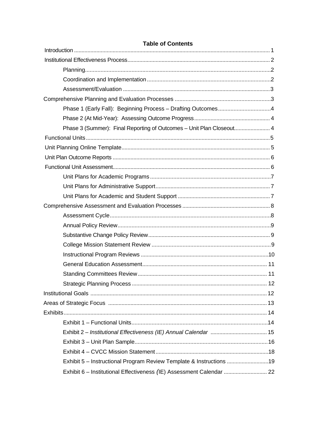| Table of Collectius                                                  |  |
|----------------------------------------------------------------------|--|
|                                                                      |  |
|                                                                      |  |
|                                                                      |  |
|                                                                      |  |
|                                                                      |  |
| Phase 1 (Early Fall): Beginning Process - Drafting Outcomes4         |  |
|                                                                      |  |
| Phase 3 (Summer): Final Reporting of Outcomes - Unit Plan Closeout 4 |  |
|                                                                      |  |
|                                                                      |  |
|                                                                      |  |
|                                                                      |  |
|                                                                      |  |
|                                                                      |  |
|                                                                      |  |
|                                                                      |  |
|                                                                      |  |
|                                                                      |  |
|                                                                      |  |
|                                                                      |  |
|                                                                      |  |
|                                                                      |  |
|                                                                      |  |
|                                                                      |  |
|                                                                      |  |
|                                                                      |  |
|                                                                      |  |
|                                                                      |  |
|                                                                      |  |
|                                                                      |  |
|                                                                      |  |
| Exhibit 5 - Instructional Program Review Template & Instructions     |  |
| Exhibit 6 - Institutional Effectiveness (IE) Assessment Calendar  22 |  |

# Table of Contents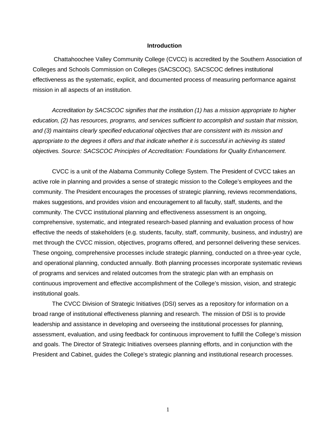### **Introduction**

<span id="page-2-0"></span>Chattahoochee Valley Community College (CVCC) is accredited by the Southern Association of Colleges and Schools Commission on Colleges (SACSCOC). SACSCOC defines institutional effectiveness as the systematic, explicit, and documented process of measuring performance against mission in all aspects of an institution.

*Accreditation by SACSCOC signifies that the institution (1) has a mission appropriate to higher education, (2) has resources, programs, and services sufficient to accomplish and sustain that mission, and (3) maintains clearly specified educational objectives that are consistent with its mission and appropriate to the degrees it offers and that indicate whether it is successful in achieving its stated objectives. Source: SACSCOC Principles of Accreditation: Foundations for Quality Enhancement.*

CVCC is a unit of the Alabama Community College System. The President of CVCC takes an active role in planning and provides a sense of strategic mission to the College's employees and the community. The President encourages the processes of strategic planning, reviews recommendations, makes suggestions, and provides vision and encouragement to all faculty, staff, students, and the community. The CVCC institutional planning and effectiveness assessment is an ongoing, comprehensive, systematic, and integrated research-based planning and evaluation process of how effective the needs of stakeholders (e.g. students, faculty, staff, community, business, and industry) are met through the CVCC mission, objectives, programs offered, and personnel delivering these services. These ongoing, comprehensive processes include strategic planning, conducted on a three-year cycle, and operational planning, conducted annually. Both planning processes incorporate systematic reviews of programs and services and related outcomes from the strategic plan with an emphasis on continuous improvement and effective accomplishment of the College's mission, vision, and strategic institutional goals.

The CVCC Division of Strategic Initiatives (DSI) serves as a repository for information on a broad range of institutional effectiveness planning and research. The mission of DSI is to provide leadership and assistance in developing and overseeing the institutional processes for planning, assessment, evaluation, and using feedback for continuous improvement to fulfill the College's mission and goals. The Director of Strategic Initiatives oversees planning efforts, and in conjunction with the President and Cabinet, guides the College's strategic planning and institutional research processes.

1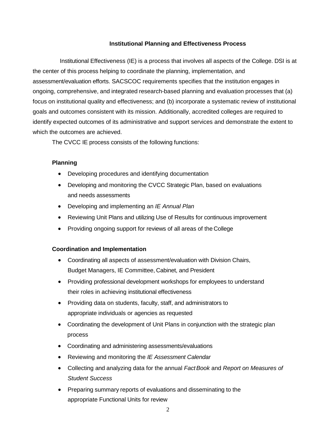# **Institutional Planning and Effectiveness Process**

Institutional Effectiveness (IE) is a process that involves all aspects of the College. DSI is at the center of this process helping to coordinate the planning, implementation, and assessment/evaluation efforts. SACSCOC requirements specifies that the institution engages in ongoing, comprehensive, and integrated research-based planning and evaluation processes that (a) focus on institutional quality and effectiveness; and (b) incorporate a systematic review of institutional goals and outcomes consistent with its mission. Additionally, accredited colleges are required to identify expected outcomes of its administrative and support services and demonstrate the extent to which the outcomes are achieved.

The CVCC IE process consists of the following functions:

# **Planning**

- Developing procedures and identifying documentation
- Developing and monitoring the CVCC Strategic Plan, based on evaluations and needs assessments
- Developing and implementing an *IE Annual Plan*
- Reviewing Unit Plans and utilizing Use of Results for continuous improvement
- Providing ongoing support for reviews of all areas of the College

# **Coordination and Implementation**

- Coordinating all aspects of assessment/evaluation with Division Chairs, Budget Managers, IE Committee, Cabinet, and President
- Providing professional development workshops for employees to understand their roles in achieving institutional effectiveness
- Providing data on students, faculty, staff, and administrators to appropriate individuals or agencies as requested
- Coordinating the development of Unit Plans in conjunction with the strategic plan process
- Coordinating and administering assessments/evaluations
- Reviewing and monitoring the *IE Assessment Calendar*
- Collecting and analyzing data for the annual *FactBook* and *Report on Measures of Student Success*
- Preparing summary reports of evaluations and disseminating to the appropriate Functional Units for review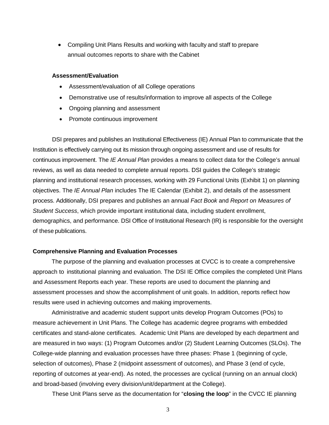• Compiling Unit Plans Results and working with faculty and staff to prepare annual outcomes reports to share with the Cabinet

#### **Assessment/Evaluation**

- Assessment/evaluation of all College operations
- Demonstrative use of results/information to improve all aspects of the College
- Ongoing planning and assessment
- Promote continuous improvement

DSI prepares and publishes an Institutional Effectiveness (IE) Annual Plan to communicate that the Institution is effectively carrying out its mission through ongoing assessment and use of results for continuous improvement. The *IE Annual Plan* provides a means to collect data for the College's annual reviews, as well as data needed to complete annual reports. DSI guides the College's strategic planning and institutional research processes, working with 29 Functional Units (Exhibit 1) on planning objectives. The *IE Annual Plan* includes The IE Calendar (Exhibit 2), and details of the assessment process. Additionally, DSI prepares and publishes an annual *Fact Book* and *Report on Measures of Student Success*, which provide important institutional data, including student enrollment, demographics, and performance. DSI Office of Institutional Research (IR) is responsible for the oversight of these publications.

#### **Comprehensive Planning and Evaluation Processes**

The purpose of the planning and evaluation processes at CVCC is to create a comprehensive approach to institutional planning and evaluation. The DSI IE Office compiles the completed Unit Plans and Assessment Reports each year. These reports are used to document the planning and assessment processes and show the accomplishment of unit goals. In addition, reports reflect how results were used in achieving outcomes and making improvements.

Administrative and academic student support units develop Program Outcomes (POs) to measure achievement in Unit Plans. The College has academic degree programs with embedded certificates and stand-alone certificates. Academic Unit Plans are developed by each department and are measured in two ways: (1) Program Outcomes and/or (2) Student Learning Outcomes (SLOs). The College-wide planning and evaluation processes have three phases: Phase 1 (beginning of cycle, selection of outcomes), Phase 2 (midpoint assessment of outcomes), and Phase 3 (end of cycle, reporting of outcomes at year-end). As noted, the processes are cyclical (running on an annual clock) and broad-based (involving every division/unit/department at the College).

These Unit Plans serve as the documentation for "**closing the loop**" in the CVCC IE planning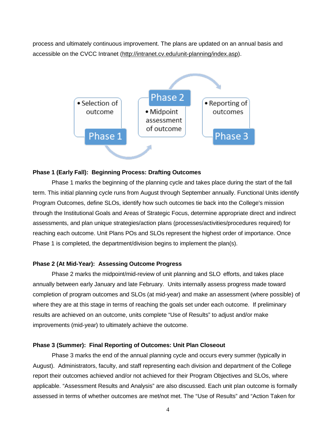process and ultimately continuous improvement. The plans are updated on an annual basis and accessible on the CVCC Intranet (http://intranet.cv.edu/unit-planning/index.asp).



### **Phase 1 (Early Fall): Beginning Process: Drafting Outcomes**

Phase 1 marks the beginning of the planning cycle and takes place during the start of the fall term. This initial planning cycle runs from August through September annually. Functional Units identify Program Outcomes, define SLOs, identify how such outcomes tie back into the College's mission through the Institutional Goals and Areas of Strategic Focus, determine appropriate direct and indirect assessments, and plan unique strategies/action plans (processes/activities/procedures required) for reaching each outcome. Unit Plans POs and SLOs represent the highest order of importance. Once Phase 1 is completed, the department/division begins to implement the plan(s).

## **Phase 2 (At Mid-Year): Assessing Outcome Progress**

Phase 2 marks the midpoint/mid-review of unit planning and SLO efforts, and takes place annually between early January and late February. Units internally assess progress made toward completion of program outcomes and SLOs (at mid-year) and make an assessment (where possible) of where they are at this stage in terms of reaching the goals set under each outcome. If preliminary results are achieved on an outcome, units complete "Use of Results" to adjust and/or make improvements (mid-year) to ultimately achieve the outcome.

## **Phase 3 (Summer): Final Reporting of Outcomes: Unit Plan Closeout**

Phase 3 marks the end of the annual planning cycle and occurs every summer (typically in August). Administrators, faculty, and staff representing each division and department of the College report their outcomes achieved and/or not achieved for their Program Objectives and SLOs, where applicable. "Assessment Results and Analysis" are also discussed. Each unit plan outcome is formally assessed in terms of whether outcomes are met/not met. The "Use of Results" and "Action Taken for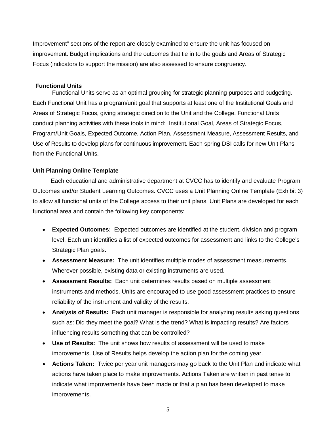Improvement" sections of the report are closely examined to ensure the unit has focused on improvement. Budget implications and the outcomes that tie in to the goals and Areas of Strategic Focus (indicators to support the mission) are also assessed to ensure congruency.

# **Functional Units**

Functional Units serve as an optimal grouping for strategic planning purposes and budgeting. Each Functional Unit has a program/unit goal that supports at least one of the Institutional Goals and Areas of Strategic Focus, giving strategic direction to the Unit and the College. Functional Units conduct planning activities with these tools in mind: Institutional Goal, Areas of Strategic Focus, Program/Unit Goals, Expected Outcome, Action Plan, Assessment Measure, Assessment Results, and Use of Results to develop plans for continuous improvement. Each spring DSI calls for new Unit Plans from the Functional Units.

### **Unit Planning Online Template**

 Each educational and administrative department at CVCC has to identify and evaluate Program Outcomes and/or Student Learning Outcomes. CVCC uses a Unit Planning Online Template (Exhibit 3) to allow all functional units of the College access to their unit plans. Unit Plans are developed for each functional area and contain the following key components:

- **Expected Outcomes:** Expected outcomes are identified at the student, division and program level. Each unit identifies a list of expected outcomes for assessment and links to the College's Strategic Plan goals.
- **Assessment Measure:** The unit identifies multiple modes of assessment measurements. Wherever possible, existing data or existing instruments are used.
- **Assessment Results:** Each unit determines results based on multiple assessment instruments and methods. Units are encouraged to use good assessment practices to ensure reliability of the instrument and validity of the results.
- **Analysis of Results:** Each unit manager is responsible for analyzing results asking questions such as: Did they meet the goal? What is the trend? What is impacting results? Are factors influencing results something that can be controlled?
- **Use of Results:** The unit shows how results of assessment will be used to make improvements. Use of Results helps develop the action plan for the coming year.
- **Actions Taken:** Twice per year unit managers may go back to the Unit Plan and indicate what actions have taken place to make improvements. Actions Taken are written in past tense to indicate what improvements have been made or that a plan has been developed to make improvements.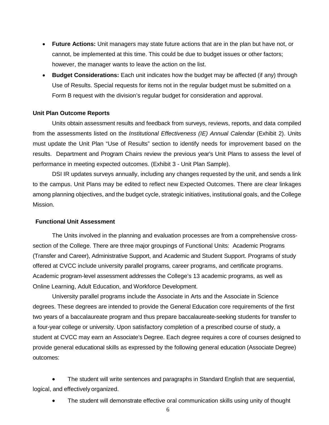- **Future Actions:** Unit managers may state future actions that are in the plan but have not, or cannot, be implemented at this time. This could be due to budget issues or other factors; however, the manager wants to leave the action on the list.
- **Budget Considerations:** Each unit indicates how the budget may be affected (if any) through Use of Results. Special requests for items not in the regular budget must be submitted on a Form B request with the division's regular budget for consideration and approval.

#### **Unit Plan Outcome Reports**

Units obtain assessment results and feedback from surveys, reviews, reports, and data compiled from the assessments listed on the *Institutional Effectiveness (IE) Annual Calendar* (Exhibit 2). Units must update the Unit Plan "Use of Results" section to identify needs for improvement based on the results. Department and Program Chairs review the previous year's Unit Plans to assess the level of performance in meeting expected outcomes. (Exhibit 3 - Unit Plan Sample).

DSI IR updates surveys annually, including any changes requested by the unit, and sends a link to the campus. Unit Plans may be edited to reflect new Expected Outcomes. There are clear linkages among planning objectives, and the budget cycle, strategic initiatives, institutional goals, and the College Mission.

# **Functional Unit Assessment**

The Units involved in the planning and evaluation processes are from a comprehensive crosssection of the College. There are three major groupings of Functional Units: Academic Programs (Transfer and Career), Administrative Support, and Academic and Student Support. Programs of study offered at CVCC include university parallel programs, career programs, and certificate programs. Academic program-level assessment addresses the College's 13 academic programs, as well as Online Learning, Adult Education, and Workforce Development.

University parallel programs include the Associate in Arts and the Associate in Science degrees. These degrees are intended to provide the General Education core requirements of the first two years of a baccalaureate program and thus prepare baccalaureate-seeking students for transfer to a four-year college or university. Upon satisfactory completion of a prescribed course of study, a student at CVCC may earn an Associate's Degree. Each degree requires a core of courses designed to provide general educational skills as expressed by the following general education (Associate Degree) outcomes:

• The student will write sentences and paragraphs in Standard English that are sequential, logical, and effectively organized.

• The student will demonstrate effective oral communication skills using unity of thought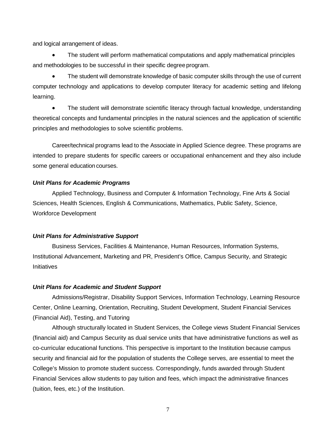and logical arrangement of ideas.

• The student will perform mathematical computations and apply mathematical principles and methodologies to be successful in their specific degree program.

• The student will demonstrate knowledge of basic computer skills through the use of current computer technology and applications to develop computer literacy for academic setting and lifelong learning.

• The student will demonstrate scientific literacy through factual knowledge, understanding theoretical concepts and fundamental principles in the natural sciences and the application of scientific principles and methodologies to solve scientific problems.

Career/technical programs lead to the Associate in Applied Science degree. These programs are intended to prepare students for specific careers or occupational enhancement and they also include some general education courses.

### <span id="page-8-0"></span>*Unit Plans for Academic Programs*

Applied Technology, Business and Computer & Information Technology, Fine Arts & Social Sciences, Health Sciences, English & Communications, Mathematics, Public Safety, Science, Workforce Development

#### <span id="page-8-1"></span>*Unit Plans for Administrative Support*

Business Services, Facilities & Maintenance, Human Resources, Information Systems, Institutional Advancement, Marketing and PR, President's Office, Campus Security, and Strategic **Initiatives** 

#### *Unit Plans for Academic and Student Support*

Admissions/Registrar, Disability Support Services, Information Technology, Learning Resource Center, Online Learning, Orientation, Recruiting, Student Development, Student Financial Services (Financial Aid), Testing, and Tutoring

Although structurally located in Student Services, the College views Student Financial Services (financial aid) and Campus Security as dual service units that have administrative functions as well as co-curricular educational functions. This perspective is important to the Institution because campus security and financial aid for the population of students the College serves, are essential to meet the College's Mission to promote student success. Correspondingly, funds awarded through Student Financial Services allow students to pay tuition and fees, which impact the administrative finances (tuition, fees, etc.) of the Institution.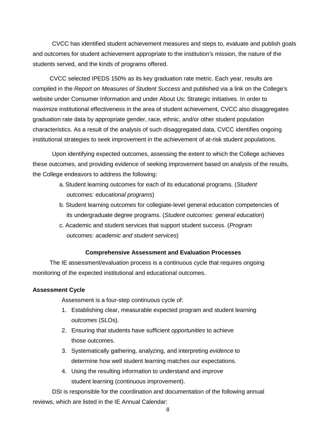CVCC has identified student achievement measures and steps to, evaluate and publish goals and outcomes for student achievement appropriate to the institution's mission, the nature of the students served, and the kinds of programs offered.

CVCC selected IPEDS 150% as its key graduation rate metric. Each year, results are compiled in the *Report on Measures of Student Success* and published via a link on the College's website under Consumer Information and under About Us: Strategic Initiatives. In order to maximize institutional effectiveness in the area of student achievement, CVCC also disaggregates graduation rate data by appropriate gender, race, ethnic, and/or other student population characteristics. As a result of the analysis of such disaggregated data, CVCC identifies ongoing institutional strategies to seek improvement in the achievement of at-risk student populations.

Upon identifying expected outcomes, assessing the extent to which the College achieves these outcomes, and providing evidence of seeking improvement based on analysis of the results, the College endeavors to address the following:

- a. Student learning outcomes for each of its educational programs. (*Student outcomes: educational programs*)
- b. Student learning outcomes for collegiate-level general education competencies of its undergraduate degree programs. (*Student outcomes: general education*)
- c. Academic and student services that support student success. (*Program outcomes: academic and student services*)

# **Comprehensive Assessment and Evaluation Processes**

The IE assessment/evaluation process is a continuous cycle that requires ongoing monitoring of the expected institutional and educational outcomes.

### **Assessment Cycle**

Assessment is a four-step continuous cycle of:

- 1. Establishing clear, measurable expected program and student learning *outcomes* (SLOs).
- 2. Ensuring that students have sufficient *opportunities* to achieve those outcomes.
- 3. Systematically gathering, analyzing, and interpreting *evidence* to determine how well student learning matches our expectations.
- 4. Using the resulting information to understand and *improve* student learning (continuous improvement).

DSI is responsible for the coordination and documentation of the following annual reviews, which are listed in the IE Annual Calendar: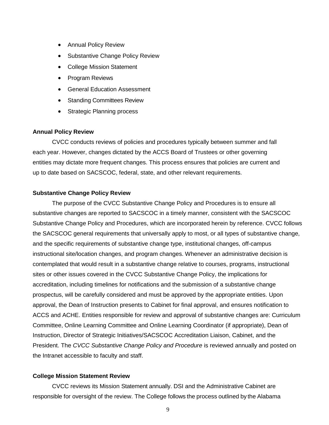- Annual Policy Review
- Substantive Change Policy Review
- College Mission Statement
- Program Reviews
- General Education Assessment
- Standing Committees Review
- Strategic Planning process

#### <span id="page-10-0"></span>**Annual Policy Review**

CVCC conducts reviews of policies and procedures typically between summer and fall each year. However, changes dictated by the ACCS Board of Trustees or other governing entities may dictate more frequent changes. This process ensures that policies are current and up to date based on SACSCOC, federal, state, and other relevant requirements.

#### **Substantive Change Policy Review**

The purpose of the CVCC Substantive Change Policy and Procedures is to ensure all substantive changes are reported to SACSCOC in a timely manner, consistent with the SACSCOC Substantive Change Policy and Procedures, which are incorporated herein by reference. CVCC follows the SACSCOC general requirements that universally apply to most, or all types of substantive change, and the specific requirements of substantive change type, institutional changes, off-campus instructional site/location changes, and program changes. Whenever an administrative decision is contemplated that would result in a substantive change relative to courses, programs, instructional sites or other issues covered in the CVCC Substantive Change Policy, the implications for accreditation, including timelines for notifications and the submission of a substantive change prospectus, will be carefully considered and must be approved by the appropriate entities. Upon approval, the Dean of Instruction presents to Cabinet for final approval, and ensures notification to ACCS and ACHE. Entities responsible for review and approval of substantive changes are: Curriculum Committee, Online Learning Committee and Online Learning Coordinator (if appropriate), Dean of Instruction, Director of Strategic Initiatives/SACSCOC Accreditation Liaison, Cabinet, and the President. The *CVCC Substantive Change Policy and Procedure* is reviewed annually and posted on the Intranet accessible to faculty and staff.

#### <span id="page-10-1"></span>**College Mission Statement Review**

CVCC reviews its Mission Statement annually. DSI and the Administrative Cabinet are responsible for oversight of the review. The College follows the process outlined by the Alabama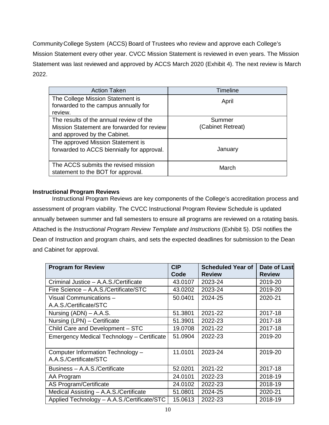CommunityCollege System (ACCS) Board of Trustees who review and approve each College's Mission Statement every other year. CVCC Mission Statement is reviewed in even years. The Mission Statement was last reviewed and approved by ACCS March 2020 (Exhibit 4). The next review is March 2022.

| <b>Action Taken</b>                                                                                                   | <b>Timeline</b>             |
|-----------------------------------------------------------------------------------------------------------------------|-----------------------------|
| The College Mission Statement is<br>forwarded to the campus annually for<br>review.                                   | April                       |
| The results of the annual review of the<br>Mission Statement are forwarded for review<br>and approved by the Cabinet. | Summer<br>(Cabinet Retreat) |
| The approved Mission Statement is<br>forwarded to ACCS biennially for approval.                                       | January                     |
| The ACCS submits the revised mission<br>statement to the BOT for approval.                                            | March                       |

# **Instructional Program Reviews**

Instructional Program Reviews are key components of the College's accreditation process and assessment of program viability. The CVCC Instructional Program Review Schedule is updated annually between summer and fall semesters to ensure all programs are reviewed on a rotating basis. Attached is the *Instructional Program Review Template and Instructions* (Exhibit 5). DSI notifies the Dean of Instruction and program chairs, and sets the expected deadlines for submission to the Dean and Cabinet for approval.

| <b>Program for Review</b>                                   | <b>CIP</b><br>Code | <b>Scheduled Year of</b><br><b>Review</b> | <b>Date of Last</b><br><b>Review</b> |
|-------------------------------------------------------------|--------------------|-------------------------------------------|--------------------------------------|
| Criminal Justice - A.A.S./Certificate                       | 43.0107            | 2023-24                                   | 2019-20                              |
| Fire Science - A.A.S./Certificate/STC                       | 43.0202            | 2023-24                                   | 2019-20                              |
| Visual Communications -                                     | 50.0401            | 2024-25                                   | 2020-21                              |
| A.A.S./Certificate/STC                                      |                    |                                           |                                      |
| Nursing $(ADN) - A.A.S.$                                    | 51.3801            | 2021-22                                   | 2017-18                              |
| Nursing (LPN) - Certificate                                 | 51.3901            | 2022-23                                   | 2017-18                              |
| Child Care and Development - STC                            | 19.0708            | 2021-22                                   | 2017-18                              |
| <b>Emergency Medical Technology - Certificate</b>           | 51.0904            | 2022-23                                   | 2019-20                              |
| Computer Information Technology -<br>A.A.S./Certificate/STC | 11.0101            | 2023-24                                   | 2019-20                              |
| Business - A.A.S./Certificate                               | 52.0201            | 2021-22                                   | 2017-18                              |
| AA Program                                                  | 24.0101            | 2022-23                                   | 2018-19                              |
| <b>AS Program/Certificate</b>                               | 24.0102            | 2022-23                                   | 2018-19                              |
| Medical Assisting - A.A.S./Certificate                      | 51.0801            | 2024-25                                   | 2020-21                              |
| Applied Technology - A.A.S./Certificate/STC                 | 15.0613            | 2022-23                                   | 2018-19                              |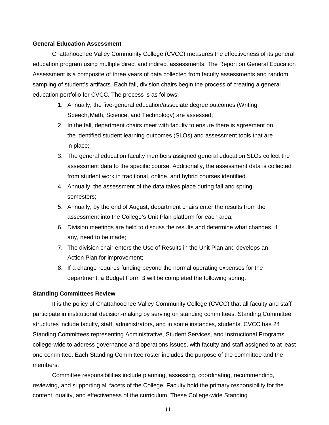#### <span id="page-12-0"></span>**General Education Assessment**

Chattahoochee Valley Community College (CVCC) measures the effectiveness of its general education program using multiple direct and indirect assessments. The Report on General Education Assessment is a composite of three years of data collected from faculty assessments and random sampling of student's artifacts. Each fall, division chairs begin the process of creating a general education portfolio for CVCC. The process is as follows:

- 1. Annually, the five-general education/associate degree outcomes (Writing, Speech,Math, Science, and Technology) are assessed;
- 2. In the fall, department chairs meet with faculty to ensure there is agreement on the identified student learning outcomes (SLOs) and assessment tools that are in place;
- 3. The general education faculty members assigned general education SLOs collect the assessment data to the specific course. Additionally, the assessment data is collected from student work in traditional, online, and hybrid courses identified.
- 4. Annually, the assessment of the data takes place during fall and spring semesters;
- 5. Annually, by the end of August, department chairs enter the results from the assessment into the College's Unit Plan platform for each area;
- 6. Division meetings are held to discuss the results and determine what changes, if any, need to be made;
- 7. The division chair enters the Use of Results in the Unit Plan and develops an Action Plan for improvement;
- 8. If a change requires funding beyond the normal operating expenses for the department, a Budget Form B will be completed the following spring.

#### <span id="page-12-1"></span>**Standing Committees Review**

It is the policy of Chattahoochee Valley Community College (CVCC) that all faculty and staff participate in institutional decision-making by serving on standing committees. Standing Committee structures include faculty, staff, administrators, and in some instances, students. CVCC has 24 Standing Committees representing Administrative, Student Services, and Instructional Programs college-wide to address governance and operations issues, with faculty and staff assigned to at least one committee. Each Standing Committee roster includes the purpose of the committee and the members.

Committee responsibilities include planning, assessing, coordinating, recommending, reviewing, and supporting all facets of the College. Faculty hold the primary responsibility for the content, quality, and effectiveness of the curriculum. These College-wide Standing

11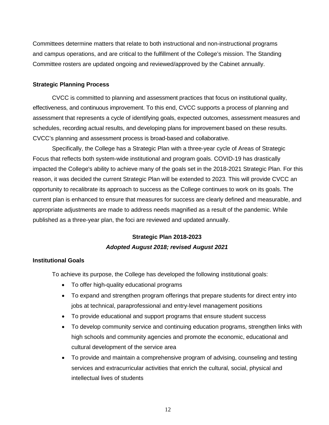Committees determine matters that relate to both instructional and non-instructional programs and campus operations, and are critical to the fulfillment of the College's mission. The Standing Committee rosters are updated ongoing and reviewed/approved by the Cabinet annually.

#### <span id="page-13-0"></span>**Strategic Planning Process**

CVCC is committed to planning and assessment practices that focus on institutional quality, effectiveness, and continuous improvement. To this end, CVCC supports a process of planning and assessment that represents a cycle of identifying goals, expected outcomes, assessment measures and schedules, recording actual results, and developing plans for improvement based on these results. CVCC's planning and assessment process is broad-based and collaborative.

Specifically, the College has a Strategic Plan with a three-year cycle of Areas of Strategic Focus that reflects both system-wide institutional and program goals. COVID-19 has drastically impacted the College's ability to achieve many of the goals set in the 2018-2021 Strategic Plan. For this reason, it was decided the current Strategic Plan will be extended to 2023. This will provide CVCC an opportunity to recalibrate its approach to success as the College continues to work on its goals. The current plan is enhanced to ensure that measures for success are clearly defined and measurable, and appropriate adjustments are made to address needs magnified as a result of the pandemic. While published as a three-year plan, the foci are reviewed and updated annually.

# **Strategic Plan 2018-2023** *Adopted August 2018; revised August 2021*

#### **Institutional Goals**

To achieve its purpose, the College has developed the following institutional goals:

- To offer high-quality educational programs
- To expand and strengthen program offerings that prepare students for direct entry into jobs at technical, paraprofessional and entry-level management positions
- To provide educational and support programs that ensure student success
- To develop community service and continuing education programs, strengthen links with high schools and community agencies and promote the economic, educational and cultural development of the service area
- To provide and maintain a comprehensive program of advising, counseling and testing services and extracurricular activities that enrich the cultural, social, physical and intellectual lives of students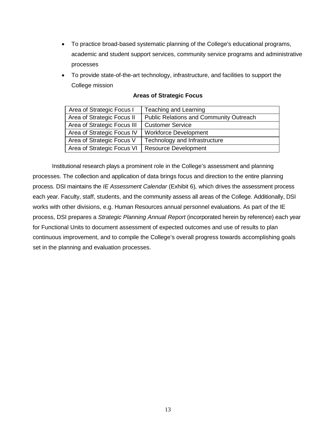- To practice broad-based systematic planning of the College's educational programs, academic and student support services, community service programs and administrative processes
- To provide state-of-the-art technology, infrastructure, and facilities to support the College mission

| Area of Strategic Focus I   | Teaching and Learning                          |
|-----------------------------|------------------------------------------------|
| Area of Strategic Focus II  | <b>Public Relations and Community Outreach</b> |
| Area of Strategic Focus III | <b>Customer Service</b>                        |
| Area of Strategic Focus IV  | <b>Workforce Development</b>                   |
| Area of Strategic Focus V   | Technology and Infrastructure                  |
| Area of Strategic Focus VI  | <b>Resource Development</b>                    |

# **Areas of Strategic Focus**

<span id="page-14-0"></span>Institutional research plays a prominent role in the College's assessment and planning processes. The collection and application of data brings focus and direction to the entire planning process. DSI maintains the *IE Assessment Calendar* (Exhibit 6)*,* which drives the assessment process each year. Faculty, staff, students, and the community assess all areas of the College. Additionally, DSI works with other divisions, e.g. Human Resources annual personnel evaluations. As part of the IE process, DSI prepares a *Strategic Planning Annual Report* (incorporated herein by reference) each year for Functional Units to document assessment of expected outcomes and use of results to plan continuous improvement, and to compile the College's overall progress towards accomplishing goals set in the planning and evaluation processes.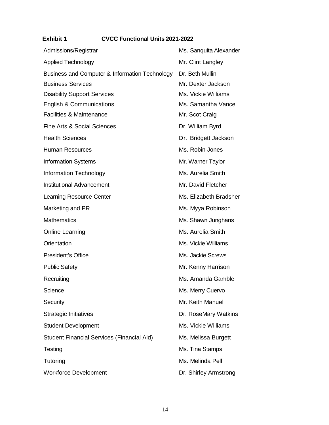# <span id="page-15-0"></span> **Exhibit 1 CVCC Functional Units 2021-2022**

| Admissions/Registrar                              | Ms. Sanquita Alexander |
|---------------------------------------------------|------------------------|
| <b>Applied Technology</b>                         | Mr. Clint Langley      |
| Business and Computer & Information Technology    | Dr. Beth Mullin        |
| <b>Business Services</b>                          | Mr. Dexter Jackson     |
| <b>Disability Support Services</b>                | Ms. Vickie Williams    |
| <b>English &amp; Communications</b>               | Ms. Samantha Vance     |
| <b>Facilities &amp; Maintenance</b>               | Mr. Scot Craig         |
| <b>Fine Arts &amp; Social Sciences</b>            | Dr. William Byrd       |
| <b>Health Sciences</b>                            | Dr. Bridgett Jackson   |
| <b>Human Resources</b>                            | Ms. Robin Jones        |
| <b>Information Systems</b>                        | Mr. Warner Taylor      |
| <b>Information Technology</b>                     | Ms. Aurelia Smith      |
| <b>Institutional Advancement</b>                  | Mr. David Fletcher     |
| <b>Learning Resource Center</b>                   | Ms. Elizabeth Bradsher |
| Marketing and PR                                  | Ms. Myya Robinson      |
| <b>Mathematics</b>                                | Ms. Shawn Junghans     |
| <b>Online Learning</b>                            | Ms. Aurelia Smith      |
| Orientation                                       | Ms. Vickie Williams    |
| <b>President's Office</b>                         | Ms. Jackie Screws      |
| <b>Public Safety</b>                              | Mr. Kenny Harrison     |
| Recruiting                                        | Ms. Amanda Gamble      |
| Science                                           | Ms. Merry Cuervo       |
| Security                                          | Mr. Keith Manuel       |
| <b>Strategic Initiatives</b>                      | Dr. RoseMary Watkins   |
| <b>Student Development</b>                        | Ms. Vickie Williams    |
| <b>Student Financial Services (Financial Aid)</b> | Ms. Melissa Burgett    |
| Testing                                           | Ms. Tina Stamps        |
| Tutoring                                          | Ms. Melinda Pell       |
| <b>Workforce Development</b>                      | Dr. Shirley Armstrong  |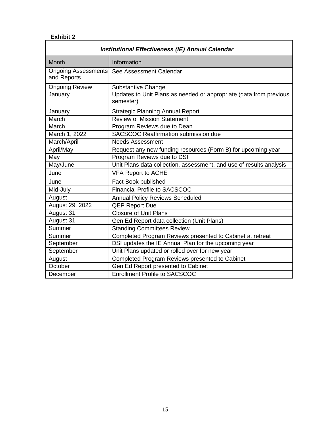# **Exhibit 2**

| <b>Institutional Effectiveness (IE) Annual Calendar</b> |                                                                                 |  |  |  |
|---------------------------------------------------------|---------------------------------------------------------------------------------|--|--|--|
| <b>Month</b>                                            | Information                                                                     |  |  |  |
| <b>Ongoing Assessments</b><br>and Reports               | See Assessment Calendar                                                         |  |  |  |
| <b>Ongoing Review</b>                                   | <b>Substantive Change</b>                                                       |  |  |  |
| January                                                 | Updates to Unit Plans as needed or appropriate (data from previous<br>semester) |  |  |  |
| January                                                 | <b>Strategic Planning Annual Report</b>                                         |  |  |  |
| March                                                   | <b>Review of Mission Statement</b>                                              |  |  |  |
| March                                                   | Program Reviews due to Dean                                                     |  |  |  |
| March 1, 2022                                           | <b>SACSCOC Reaffirmation submission due</b>                                     |  |  |  |
| March/April                                             | <b>Needs Assessment</b>                                                         |  |  |  |
| April/May                                               | Request any new funding resources (Form B) for upcoming year                    |  |  |  |
| May                                                     | Program Reviews due to DSI                                                      |  |  |  |
| May/June                                                | Unit Plans data collection, assessment, and use of results analysis             |  |  |  |
| June                                                    | <b>VFA Report to ACHE</b>                                                       |  |  |  |
| June                                                    | Fact Book published                                                             |  |  |  |
| Mid-July                                                | <b>Financial Profile to SACSCOC</b>                                             |  |  |  |
| August                                                  | <b>Annual Policy Reviews Scheduled</b>                                          |  |  |  |
| August 29, 2022                                         | <b>QEP Report Due</b>                                                           |  |  |  |
| August 31                                               | <b>Closure of Unit Plans</b>                                                    |  |  |  |
| August 31                                               | Gen Ed Report data collection (Unit Plans)                                      |  |  |  |
| Summer                                                  | <b>Standing Committees Review</b>                                               |  |  |  |
| Summer                                                  | Completed Program Reviews presented to Cabinet at retreat                       |  |  |  |
| September                                               | DSI updates the IE Annual Plan for the upcoming year                            |  |  |  |
| September                                               | Unit Plans updated or rolled over for new year                                  |  |  |  |
| August                                                  | Completed Program Reviews presented to Cabinet                                  |  |  |  |
| October                                                 | Gen Ed Report presented to Cabinet                                              |  |  |  |
| December                                                | <b>Enrollment Profile to SACSCOC</b>                                            |  |  |  |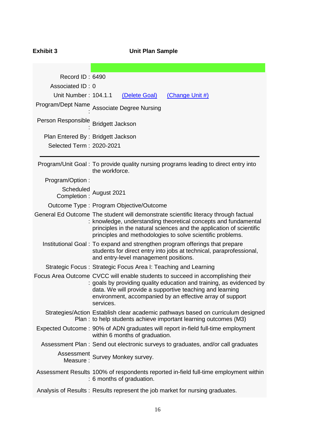| <b>Exhibit 3</b>                      | <b>Unit Plan Sample</b>                                                                                                                                                                                                                                                                      |
|---------------------------------------|----------------------------------------------------------------------------------------------------------------------------------------------------------------------------------------------------------------------------------------------------------------------------------------------|
|                                       |                                                                                                                                                                                                                                                                                              |
| Record ID: 6490                       |                                                                                                                                                                                                                                                                                              |
| Associated ID: 0                      |                                                                                                                                                                                                                                                                                              |
| Unit Number: 104.1.1                  | (Change Unit #)<br>(Delete Goal)                                                                                                                                                                                                                                                             |
|                                       | Program/Dept Name Associate Degree Nursing                                                                                                                                                                                                                                                   |
| Person Responsible Bridgett Jackson   |                                                                                                                                                                                                                                                                                              |
| Plan Entered By: Bridgett Jackson     |                                                                                                                                                                                                                                                                                              |
| Selected Term: 2020-2021              |                                                                                                                                                                                                                                                                                              |
|                                       | Program/Unit Goal: To provide quality nursing programs leading to direct entry into<br>the workforce.                                                                                                                                                                                        |
| Program/Option:                       |                                                                                                                                                                                                                                                                                              |
| Scheduled<br>Completion : August 2021 |                                                                                                                                                                                                                                                                                              |
|                                       | Outcome Type: Program Objective/Outcome                                                                                                                                                                                                                                                      |
|                                       | General Ed Outcome The student will demonstrate scientific literacy through factual<br>: knowledge, understanding theoretical concepts and fundamental<br>principles in the natural sciences and the application of scientific<br>principles and methodologies to solve scientific problems. |
|                                       | Institutional Goal: To expand and strengthen program offerings that prepare<br>students for direct entry into jobs at technical, paraprofessional,<br>and entry-level management positions.                                                                                                  |
|                                       | Strategic Focus: Strategic Focus Area I: Teaching and Learning                                                                                                                                                                                                                               |
|                                       | Focus Area Outcome CVCC will enable students to succeed in accomplishing their<br>: goals by providing quality education and training, as evidenced by<br>data. We will provide a supportive teaching and learning<br>environment, accompanied by an effective array of support<br>services. |
|                                       | Strategies/Action Establish clear academic pathways based on curriculum designed<br>Plan: to help students achieve important learning outcomes (M3)                                                                                                                                          |
|                                       | Expected Outcome: 90% of ADN graduates will report in-field full-time employment<br>within 6 months of graduation.                                                                                                                                                                           |
|                                       | Assessment Plan: Send out electronic surveys to graduates, and/or call graduates                                                                                                                                                                                                             |
|                                       | Assessment<br>Measure: Survey Monkey survey.                                                                                                                                                                                                                                                 |
|                                       | Assessment Results 100% of respondents reported in-field full-time employment within<br>: 6 months of graduation.                                                                                                                                                                            |
|                                       | Analysis of Results: Results represent the job market for nursing graduates.                                                                                                                                                                                                                 |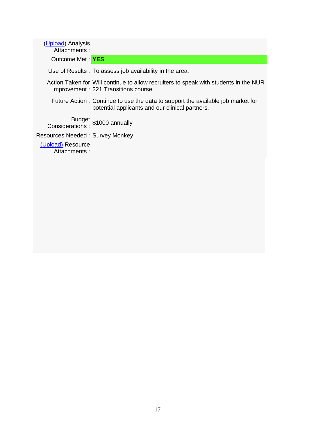| (Upload) Analysis<br>Attachments:          |                                                                                                                                    |
|--------------------------------------------|------------------------------------------------------------------------------------------------------------------------------------|
| Outcome Met: YES                           |                                                                                                                                    |
|                                            | Use of Results: To assess job availability in the area.                                                                            |
|                                            | Action Taken for Will continue to allow recruiters to speak with students in the NUR<br>Improvement: 221 Transitions course.       |
|                                            | Future Action: Continue to use the data to support the available job market for<br>potential applicants and our clinical partners. |
| Budget \$1000 annually<br>Considerations : |                                                                                                                                    |
| Resources Needed: Survey Monkey            |                                                                                                                                    |
| (Upload) Resource<br>Attachments:          |                                                                                                                                    |
|                                            |                                                                                                                                    |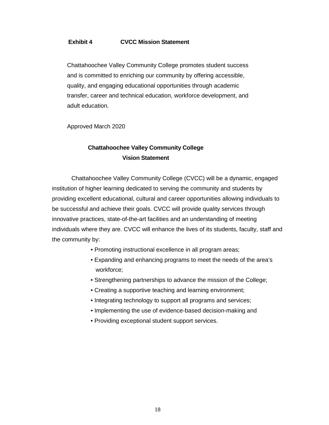# **Exhibit 4 CVCC Mission Statement**

Chattahoochee Valley Community College promotes student success and is committed to enriching our community by offering accessible, quality, and engaging educational opportunities through academic transfer, career and technical education, workforce development, and adult education.

Approved March 2020

# **Chattahoochee Valley Community College Vision Statement**

Chattahoochee Valley Community College (CVCC) will be a dynamic, engaged institution of higher learning dedicated to serving the community and students by providing excellent educational, cultural and career opportunities allowing individuals to be successful and achieve their goals. CVCC will provide quality services through innovative practices, state-of-the-art facilities and an understanding of meeting individuals where they are. CVCC will enhance the lives of its students, faculty, staff and the community by:

- Promoting instructional excellence in all program areas;
- Expanding and enhancing programs to meet the needs of the area's workforce;
- Strengthening partnerships to advance the mission of the College;
- Creating a supportive teaching and learning environment;
- Integrating technology to support all programs and services;
- Implementing the use of evidence-based decision-making and
- Providing exceptional student support services.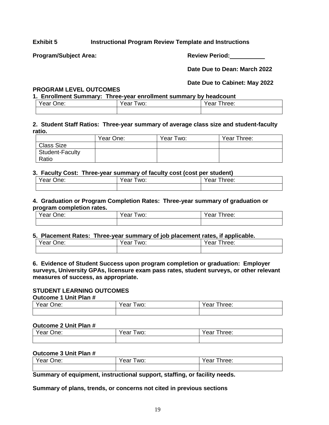# **Exhibit 5 Instructional Program Review Template and Instructions**

Program/Subject Area: New York Controller Review Period:

**Date Due to Dean: March 2022**

# **Date Due to Cabinet: May 2022**

# **PROGRAM LEVEL OUTCOMES**

**1. Enrollment Summary: Three-year enrollment summary by headcount**

| $\cdot$<br>$\sim$ one.<br>∪ne:<br>ear | WO:<br>'ear | $\sim$<br>≀∩∩r<br>Gai<br>vv. |
|---------------------------------------|-------------|------------------------------|
|                                       |             |                              |

# **2. Student Staff Ratios: Three-year summary of average class size and student-faculty ratio.**

|                        | Year One: | Year Two: | Year Three: |
|------------------------|-----------|-----------|-------------|
| <b>Class Size</b>      |           |           |             |
| <b>Student-Faculty</b> |           |           |             |
| Ratio                  |           |           |             |

# **3. Faculty Cost: Three-year summary of faculty cost (cost per student)**

| $\lambda$ $\lambda$ | '≏ar | hree:      |
|---------------------|------|------------|
| One:                | WO.  | $^{\circ}$ |
| ′ear                | Ψu   | Gai        |
|                     |      |            |

## **4. Graduation or Program Completion Rates: Three-year summary of graduation or program completion rates.**

| Year One: | Year<br>WO: | Year<br>Three: |
|-----------|-------------|----------------|
|           |             |                |

### **5. Placement Rates: Three-year summary of job placement rates, if applicable.**

| Year | Year | Year   |
|------|------|--------|
| One: | WO:  | Three: |
|      |      |        |

## **6. Evidence of Student Success upon program completion or graduation: Employer surveys, University GPAs, licensure exam pass rates, student surveys, or other relevant measures of success, as appropriate.**

#### **STUDENT LEARNING OUTCOMES Outcome 1 Unit Plan #**

| $U$ uluunuu luuum        |            |               |  |  |  |  |  |  |
|--------------------------|------------|---------------|--|--|--|--|--|--|
| $Year \setminus$<br>One: | ear<br>WO: | hree:<br>Year |  |  |  |  |  |  |
|                          |            |               |  |  |  |  |  |  |

## **Outcome 2 Unit Plan #**

| ear<br>∪ne: | $\sim$<br>WO:<br>ear | $'$ $\cap$ r<br>hree:<br>Сa |  |  |
|-------------|----------------------|-----------------------------|--|--|
|             |                      |                             |  |  |

# **Outcome 3 Unit Plan #**

| Year L | Year | Year.  |
|--------|------|--------|
| One:   | WO:  | ⊺hree: |
|        |      |        |

**Summary of equipment, instructional support, staffing, or facility needs.**

**Summary of plans, trends, or concerns not cited in previous sections**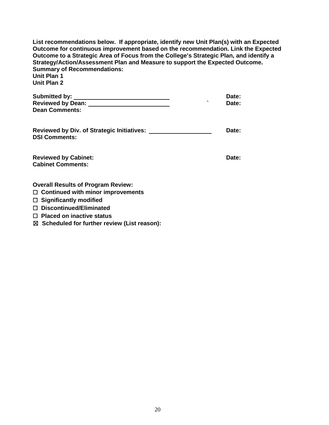| List recommendations below. If appropriate, identify new Unit Plan(s) with an Expected<br>Outcome for continuous improvement based on the recommendation. Link the Expected<br>Outcome to a Strategic Area of Focus from the College's Strategic Plan, and identify a<br>Strategy/Action/Assessment Plan and Measure to support the Expected Outcome.<br><b>Summary of Recommendations:</b><br><b>Unit Plan 1</b><br><b>Unit Plan 2</b> |       |
|-----------------------------------------------------------------------------------------------------------------------------------------------------------------------------------------------------------------------------------------------------------------------------------------------------------------------------------------------------------------------------------------------------------------------------------------|-------|
|                                                                                                                                                                                                                                                                                                                                                                                                                                         | Date: |
|                                                                                                                                                                                                                                                                                                                                                                                                                                         | Date: |
| <b>Dean Comments:</b>                                                                                                                                                                                                                                                                                                                                                                                                                   |       |
| <b>DSI Comments:</b>                                                                                                                                                                                                                                                                                                                                                                                                                    | Date: |
| <b>Reviewed by Cabinet:</b><br><b>Cabinet Comments:</b>                                                                                                                                                                                                                                                                                                                                                                                 | Date: |
| <b>Overall Results of Program Review:</b>                                                                                                                                                                                                                                                                                                                                                                                               |       |
| $\Box$ Continued with minor improvements                                                                                                                                                                                                                                                                                                                                                                                                |       |
| $\Box$ Significantly modified                                                                                                                                                                                                                                                                                                                                                                                                           |       |
| $\Box$ Discontinued/Eliminated                                                                                                                                                                                                                                                                                                                                                                                                          |       |
| $\Box$ Placed on inactive status                                                                                                                                                                                                                                                                                                                                                                                                        |       |

☒ **Scheduled for further review (List reason):**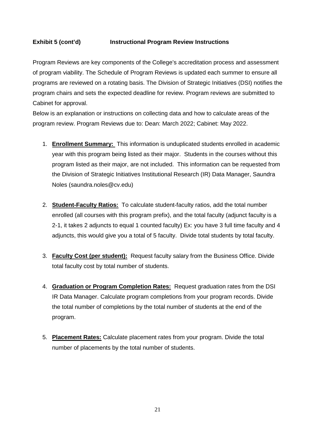# **Exhibit 5 (cont'd) Instructional Program Review Instructions**

Program Reviews are key components of the College's accreditation process and assessment of program viability. The Schedule of Program Reviews is updated each summer to ensure all programs are reviewed on a rotating basis. The Division of Strategic Initiatives (DSI) notifies the program chairs and sets the expected deadline for review. Program reviews are submitted to Cabinet for approval.

Below is an explanation or instructions on collecting data and how to calculate areas of the program review. Program Reviews due to: Dean: March 2022; Cabinet: May 2022.

- 1. **Enrollment Summary:** This information is unduplicated students enrolled in academic year with this program being listed as their major. Students in the courses without this program listed as their major, are not included. This information can be requested from the Division of Strategic Initiatives Institutional Research (IR) Data Manager, Saundra Noles (saundra.noles@cv.edu)
- 2. **Student-Faculty Ratios:** To calculate student-faculty ratios, add the total number enrolled (all courses with this program prefix), and the total faculty (adjunct faculty is a 2-1, it takes 2 adjuncts to equal 1 counted faculty) Ex: you have 3 full time faculty and 4 adjuncts, this would give you a total of 5 faculty. Divide total students by total faculty.
- 3. **Faculty Cost (per student):** Request faculty salary from the Business Office. Divide total faculty cost by total number of students.
- 4. **Graduation or Program Completion Rates:** Request graduation rates from the DSI IR Data Manager. Calculate program completions from your program records. Divide the total number of completions by the total number of students at the end of the program.
- 5. **Placement Rates:** Calculate placement rates from your program. Divide the total number of placements by the total number of students.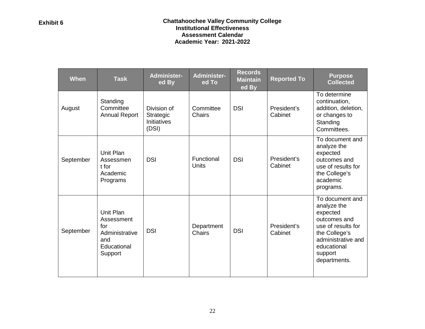# **Exhibit 6 Chattahoochee Valley Community College Institutional Effectiveness Assessment Calendar Academic Year: 2021-2022**

| When      | <b>Task</b>                                                                       | <b>Administer-</b><br>ed By                             | <b>Administer-</b><br>ed To | <b>Records</b><br><b>Maintain</b><br>ed By | <b>Reported To</b>     | <b>Purpose</b><br><b>Collected</b>                                                                                                                                |
|-----------|-----------------------------------------------------------------------------------|---------------------------------------------------------|-----------------------------|--------------------------------------------|------------------------|-------------------------------------------------------------------------------------------------------------------------------------------------------------------|
| August    | Standing<br>Committee<br><b>Annual Report</b>                                     | Division of<br>Strategic<br><b>Initiatives</b><br>(DSI) | Committee<br><b>Chairs</b>  | <b>DSI</b>                                 | President's<br>Cabinet | To determine<br>continuation,<br>addition, deletion,<br>or changes to<br>Standing<br>Committees.                                                                  |
| September | Unit Plan<br>Assessmen<br>t for<br>Academic<br>Programs                           | <b>DSI</b>                                              | Functional<br><b>Units</b>  | <b>DSI</b>                                 | President's<br>Cabinet | To document and<br>analyze the<br>expected<br>outcomes and<br>use of results for<br>the College's<br>academic<br>programs.                                        |
| September | Unit Plan<br>Assessment<br>for<br>Administrative<br>and<br>Educational<br>Support | <b>DSI</b>                                              | Department<br><b>Chairs</b> | <b>DSI</b>                                 | President's<br>Cabinet | To document and<br>analyze the<br>expected<br>outcomes and<br>use of results for<br>the College's<br>administrative and<br>educational<br>support<br>departments. |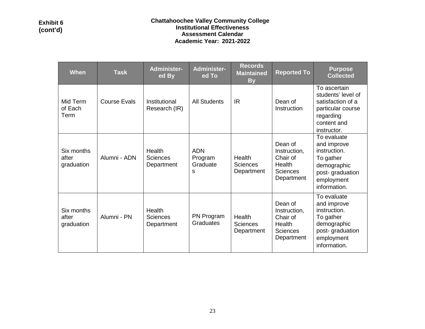| <b>When</b>                       | <b>Task</b>         | <b>Administer-</b><br>ed By             | <b>Administer-</b><br>ed To            | <b>Records</b><br><b>Maintained</b><br><b>By</b> | <b>Reported To</b>                                                             | <b>Purpose</b><br><b>Collected</b>                                                                                      |
|-----------------------------------|---------------------|-----------------------------------------|----------------------------------------|--------------------------------------------------|--------------------------------------------------------------------------------|-------------------------------------------------------------------------------------------------------------------------|
| Mid Term<br>of Each<br>Term       | <b>Course Evals</b> | Institutional<br>Research (IR)          | <b>All Students</b>                    | IR                                               | Dean of<br>Instruction                                                         | To ascertain<br>students' level of<br>satisfaction of a<br>particular course<br>regarding<br>content and<br>instructor. |
| Six months<br>after<br>graduation | Alumni - ADN        | Health<br><b>Sciences</b><br>Department | <b>ADN</b><br>Program<br>Graduate<br>S | Health<br>Sciences<br>Department                 | Dean of<br>Instruction,<br>Chair of<br>Health<br><b>Sciences</b><br>Department | To evaluate<br>and improve<br>instruction.<br>To gather<br>demographic<br>post-graduation<br>employment<br>information. |
| Six months<br>after<br>graduation | Alumni - PN         | Health<br><b>Sciences</b><br>Department | PN Program<br>Graduates                | Health<br><b>Sciences</b><br>Department          | Dean of<br>Instruction,<br>Chair of<br>Health<br><b>Sciences</b><br>Department | To evaluate<br>and improve<br>instruction.<br>To gather<br>demographic<br>post-graduation<br>employment<br>information. |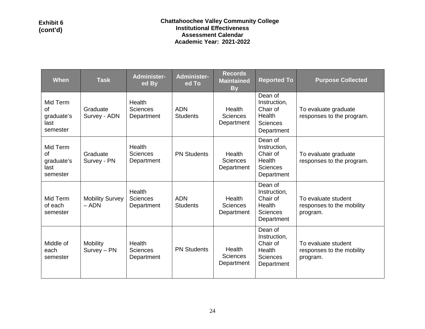| When                                             | <b>Task</b>                       | Administer-<br>ed By                    | <b>Administer-</b><br>ed To   | <b>Records</b><br><b>Maintained</b><br><b>By</b> | <b>Reported To</b>                                                             | <b>Purpose Collected</b>                                     |
|--------------------------------------------------|-----------------------------------|-----------------------------------------|-------------------------------|--------------------------------------------------|--------------------------------------------------------------------------------|--------------------------------------------------------------|
| Mid Term<br>0f<br>graduate's<br>last<br>semester | Graduate<br>Survey - ADN          | Health<br><b>Sciences</b><br>Department | <b>ADN</b><br><b>Students</b> | Health<br><b>Sciences</b><br>Department          | Dean of<br>Instruction,<br>Chair of<br>Health<br><b>Sciences</b><br>Department | To evaluate graduate<br>responses to the program.            |
| Mid Term<br>οf<br>graduate's<br>last<br>semester | Graduate<br>Survey - PN           | Health<br><b>Sciences</b><br>Department | <b>PN Students</b>            | Health<br><b>Sciences</b><br>Department          | Dean of<br>Instruction,<br>Chair of<br>Health<br><b>Sciences</b><br>Department | To evaluate graduate<br>responses to the program.            |
| Mid Term<br>of each<br>semester                  | <b>Mobility Survey</b><br>$-$ ADN | Health<br><b>Sciences</b><br>Department | <b>ADN</b><br><b>Students</b> | Health<br><b>Sciences</b><br>Department          | Dean of<br>Instruction,<br>Chair of<br>Health<br><b>Sciences</b><br>Department | To evaluate student<br>responses to the mobility<br>program. |
| Middle of<br>each<br>semester                    | Mobility<br>Survey - PN           | Health<br>Sciences<br>Department        | <b>PN Students</b>            | <b>Health</b><br><b>Sciences</b><br>Department   | Dean of<br>Instruction,<br>Chair of<br>Health<br><b>Sciences</b><br>Department | To evaluate student<br>responses to the mobility<br>program. |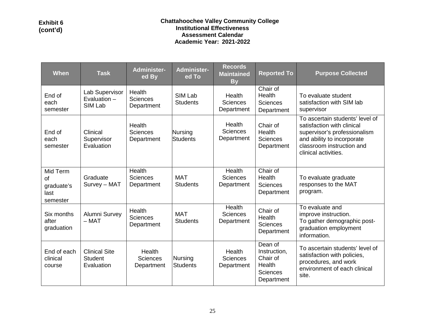| <b>When</b>                                             | <b>Task</b>                                          | <b>Administer-</b><br>ed By             | <b>Administer-</b><br>ed To   | <b>Records</b><br><b>Maintained</b><br><b>By</b> | <b>Reported To</b>                                                             | <b>Purpose Collected</b>                                                                                                                                                         |
|---------------------------------------------------------|------------------------------------------------------|-----------------------------------------|-------------------------------|--------------------------------------------------|--------------------------------------------------------------------------------|----------------------------------------------------------------------------------------------------------------------------------------------------------------------------------|
| End of<br>each<br>semester                              | Lab Supervisor<br>Evaluation $-$<br>SIM Lab          | Health<br>Sciences<br>Department        | SIM Lab<br><b>Students</b>    | Health<br><b>Sciences</b><br>Department          | Chair of<br>Health<br><b>Sciences</b><br>Department                            | To evaluate student<br>satisfaction with SIM lab<br>supervisor                                                                                                                   |
| End of<br>each<br>semester                              | Clinical<br>Supervisor<br>Evaluation                 | Health<br>Sciences<br>Department        | Nursing<br><b>Students</b>    | Health<br><b>Sciences</b><br>Department          | Chair of<br>Health<br><b>Sciences</b><br>Department                            | To ascertain students' level of<br>satisfaction with clinical<br>supervisor's professionalism<br>and ability to incorporate<br>classroom instruction and<br>clinical activities. |
| Mid Term<br><b>of</b><br>graduate's<br>last<br>semester | Graduate<br>Survey - MAT                             | Health<br><b>Sciences</b><br>Department | <b>MAT</b><br><b>Students</b> | <b>Health</b><br><b>Sciences</b><br>Department   | Chair of<br>Health<br><b>Sciences</b><br>Department                            | To evaluate graduate<br>responses to the MAT<br>program.                                                                                                                         |
| Six months<br>after<br>graduation                       | Alumni Survey<br>$-$ MAT                             | Health<br><b>Sciences</b><br>Department | <b>MAT</b><br><b>Students</b> | <b>Health</b><br><b>Sciences</b><br>Department   | Chair of<br>Health<br><b>Sciences</b><br>Department                            | To evaluate and<br>improve instruction.<br>To gather demographic post-<br>graduation employment<br>information.                                                                  |
| End of each<br>clinical<br>course                       | <b>Clinical Site</b><br><b>Student</b><br>Evaluation | Health<br><b>Sciences</b><br>Department | Nursing<br><b>Students</b>    | Health<br><b>Sciences</b><br>Department          | Dean of<br>Instruction,<br>Chair of<br>Health<br><b>Sciences</b><br>Department | To ascertain students' level of<br>satisfaction with policies,<br>procedures, and work<br>environment of each clinical<br>site.                                                  |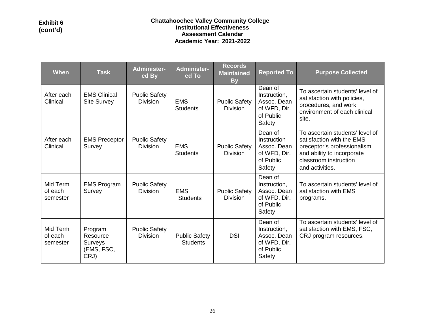| <b>When</b>                     | <b>Task</b>                                          | <b>Administer-</b><br>ed By             | <b>Administer-</b><br>ed To             | <b>Records</b><br><b>Maintained</b><br><b>By</b> | <b>Reported To</b>                                                            | <b>Purpose Collected</b>                                                                                                                                              |
|---------------------------------|------------------------------------------------------|-----------------------------------------|-----------------------------------------|--------------------------------------------------|-------------------------------------------------------------------------------|-----------------------------------------------------------------------------------------------------------------------------------------------------------------------|
| After each<br>Clinical          | <b>EMS Clinical</b><br><b>Site Survey</b>            | <b>Public Safety</b><br><b>Division</b> | <b>EMS</b><br><b>Students</b>           | <b>Public Safety</b><br><b>Division</b>          | Dean of<br>Instruction,<br>Assoc. Dean<br>of WFD, Dir.<br>of Public<br>Safety | To ascertain students' level of<br>satisfaction with policies,<br>procedures, and work<br>environment of each clinical<br>site.                                       |
| After each<br>Clinical          | <b>EMS Preceptor</b><br>Survey                       | <b>Public Safety</b><br><b>Division</b> | <b>EMS</b><br><b>Students</b>           | <b>Public Safety</b><br><b>Division</b>          | Dean of<br>Instruction<br>Assoc. Dean<br>of WFD, Dir.<br>of Public<br>Safety  | To ascertain students' level of<br>satisfaction with the EMS<br>preceptor's professionalism<br>and ability to incorporate<br>classroom instruction<br>and activities. |
| Mid Term<br>of each<br>semester | <b>EMS Program</b><br>Survey                         | <b>Public Safety</b><br><b>Division</b> | <b>EMS</b><br><b>Students</b>           | <b>Public Safety</b><br><b>Division</b>          | Dean of<br>Instruction,<br>Assoc. Dean<br>of WFD, Dir.<br>of Public<br>Safety | To ascertain students' level of<br>satisfaction with EMS<br>programs.                                                                                                 |
| Mid Term<br>of each<br>semester | Program<br>Resource<br>Surveys<br>(EMS, FSC,<br>CRJ) | <b>Public Safety</b><br><b>Division</b> | <b>Public Safety</b><br><b>Students</b> | <b>DSI</b>                                       | Dean of<br>Instruction,<br>Assoc. Dean<br>of WFD, Dir.<br>of Public<br>Safety | To ascertain students' level of<br>satisfaction with EMS, FSC,<br>CRJ program resources.                                                                              |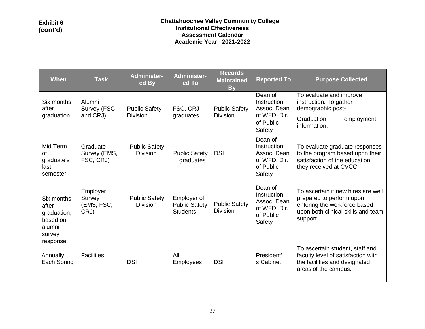| <b>When</b>                                                                    | <b>Task</b>                              | <b>Administer-</b><br>ed By             | Administer-<br>ed To                                   | <b>Records</b><br><b>Maintained</b><br><b>By</b> | <b>Reported To</b>                                                            | <b>Purpose Collected</b>                                                                                                                         |
|--------------------------------------------------------------------------------|------------------------------------------|-----------------------------------------|--------------------------------------------------------|--------------------------------------------------|-------------------------------------------------------------------------------|--------------------------------------------------------------------------------------------------------------------------------------------------|
| Six months<br>after<br>graduation                                              | Alumni<br>Survey (FSC<br>and CRJ)        | <b>Public Safety</b><br><b>Division</b> | FSC, CRJ<br>graduates                                  | <b>Public Safety</b><br><b>Division</b>          | Dean of<br>Instruction,<br>Assoc. Dean<br>of WFD, Dir.<br>of Public<br>Safety | To evaluate and improve<br>instruction. To gather<br>demographic post-<br>Graduation<br>employment<br>information.                               |
| Mid Term<br>of<br>graduate's<br>last<br>semester                               | Graduate<br>Survey (EMS,<br>FSC, CRJ)    | <b>Public Safety</b><br><b>Division</b> | <b>Public Safety</b><br>graduates                      | <b>DSI</b>                                       | Dean of<br>Instruction,<br>Assoc. Dean<br>of WFD, Dir.<br>of Public<br>Safety | To evaluate graduate responses<br>to the program based upon their<br>satisfaction of the education<br>they received at CVCC.                     |
| Six months<br>after<br>graduation,<br>based on<br>alumni<br>survey<br>response | Employer<br>Survey<br>(EMS, FSC,<br>CRJ) | <b>Public Safety</b><br><b>Division</b> | Employer of<br><b>Public Safety</b><br><b>Students</b> | <b>Public Safety</b><br><b>Division</b>          | Dean of<br>Instruction,<br>Assoc. Dean<br>of WFD, Dir.<br>of Public<br>Safety | To ascertain if new hires are well<br>prepared to perform upon<br>entering the workforce based<br>upon both clinical skills and team<br>support. |
| Annually<br>Each Spring                                                        | <b>Facilities</b>                        | <b>DSI</b>                              | All<br><b>Employees</b>                                | <b>DSI</b>                                       | President'<br>s Cabinet                                                       | To ascertain student, staff and<br>faculty level of satisfaction with<br>the facilities and designated<br>areas of the campus.                   |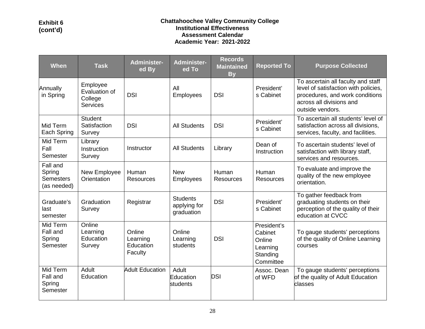# **Exhibit 6 (cont'd)**

# **Chattahoochee Valley Community College Institutional Effectiveness Assessment Calendar Academic Year: 2021-2022**

| <b>When</b>                                           | <b>Task</b>                                             | <b>Administer-</b><br>ed By                | <b>Administer-</b><br>ed To                   | <b>Records</b><br><b>Maintained</b><br><b>By</b> | <b>Reported To</b>                                                    | <b>Purpose Collected</b>                                                                                                                                      |
|-------------------------------------------------------|---------------------------------------------------------|--------------------------------------------|-----------------------------------------------|--------------------------------------------------|-----------------------------------------------------------------------|---------------------------------------------------------------------------------------------------------------------------------------------------------------|
| Annually<br>in Spring                                 | Employee<br>Evaluation of<br>College<br><b>Services</b> | <b>DSI</b>                                 | All<br><b>Employees</b>                       | <b>DSI</b>                                       | President'<br>s Cabinet                                               | To ascertain all faculty and staff<br>level of satisfaction with policies,<br>procedures, and work conditions<br>across all divisions and<br>outside vendors. |
| Mid Term<br>Each Spring                               | <b>Student</b><br>Satisfaction<br>Survey                | <b>DSI</b>                                 | <b>All Students</b>                           | <b>DSI</b>                                       | President'<br>s Cabinet                                               | To ascertain all students' level of<br>satisfaction across all divisions,<br>services, faculty, and facilities.                                               |
| Mid Term<br>Fall<br>Semester                          | Library<br>Instruction<br>Survey                        | Instructor                                 | <b>All Students</b>                           | Library                                          | Dean of<br>Instruction                                                | To ascertain students' level of<br>satisfaction with library staff,<br>services and resources.                                                                |
| Fall and<br>Spring<br><b>Semesters</b><br>(as needed) | New Employee<br>Orientation                             | Human<br><b>Resources</b>                  | <b>New</b><br><b>Employees</b>                | Human<br><b>Resources</b>                        | Human<br><b>Resources</b>                                             | To evaluate and improve the<br>quality of the new employee<br>orientation.                                                                                    |
| Graduate's<br>last<br>semester                        | Graduation<br>Survey                                    | Registrar                                  | <b>Students</b><br>applying for<br>graduation | <b>DSI</b>                                       | President'<br>s Cabinet                                               | To gather feedback from<br>graduating students on their<br>perception of the quality of their<br>education at CVCC                                            |
| Mid Term<br>Fall and<br>Spring<br>Semester            | Online<br>Learning<br>Education<br>Survey               | Online<br>Learning<br>Education<br>Faculty | Online<br>Learning<br>students                | <b>DSI</b>                                       | President's<br>Cabinet<br>Online<br>Learning<br>Standing<br>Committee | To gauge students' perceptions<br>of the quality of Online Learning<br>courses                                                                                |
| Mid Term<br>Fall and<br>Spring<br>Semester            | Adult<br>Education                                      | <b>Adult Education</b>                     | Adult<br>Education<br>students                | <b>DSI</b>                                       | Assoc. Dean<br>of WFD                                                 | To gauge students' perceptions<br>of the quality of Adult Education<br>classes                                                                                |